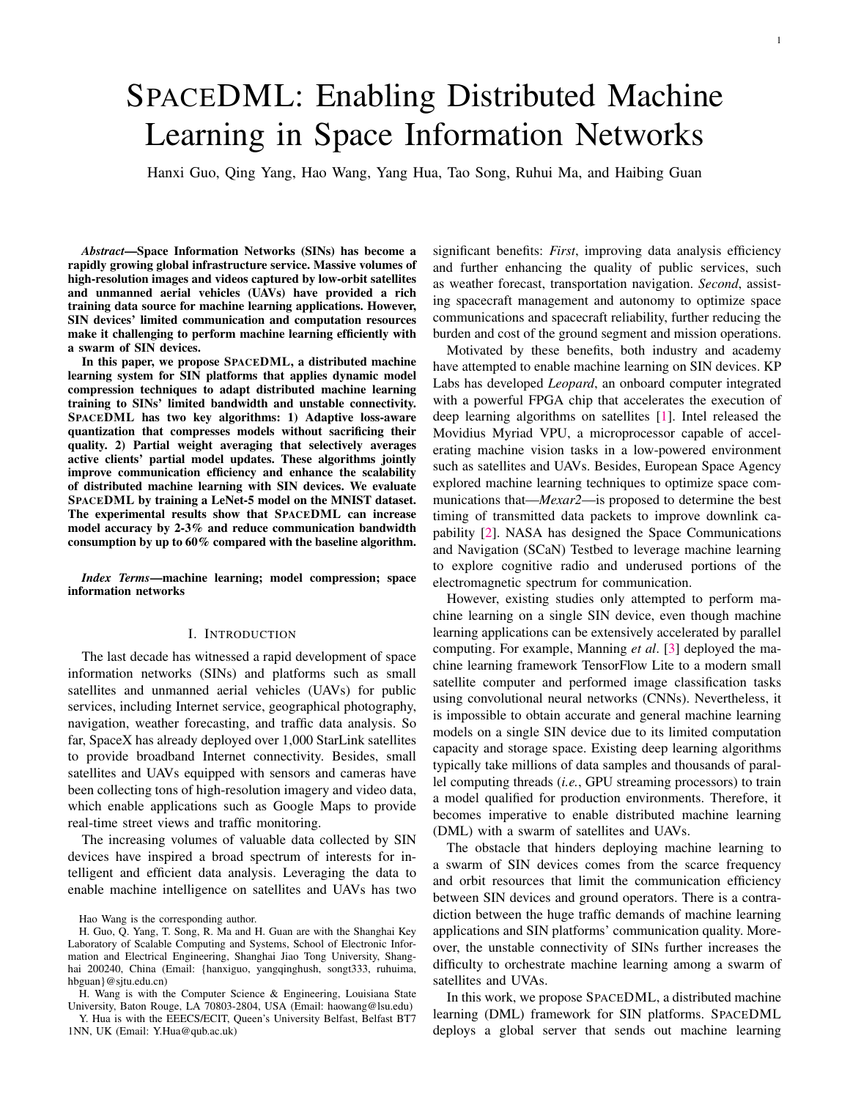# SPACEDML: Enabling Distributed Machine Learning in Space Information Networks

Hanxi Guo, Qing Yang, Hao Wang, Yang Hua, Tao Song, Ruhui Ma, and Haibing Guan

*Abstract*—Space Information Networks (SINs) has become a rapidly growing global infrastructure service. Massive volumes of high-resolution images and videos captured by low-orbit satellites and unmanned aerial vehicles (UAVs) have provided a rich training data source for machine learning applications. However, SIN devices' limited communication and computation resources make it challenging to perform machine learning efficiently with a swarm of SIN devices.

In this paper, we propose SPACEDML, a distributed machine learning system for SIN platforms that applies dynamic model compression techniques to adapt distributed machine learning training to SINs' limited bandwidth and unstable connectivity. SPACEDML has two key algorithms: 1) Adaptive loss-aware quantization that compresses models without sacrificing their quality. 2) Partial weight averaging that selectively averages active clients' partial model updates. These algorithms jointly improve communication efficiency and enhance the scalability of distributed machine learning with SIN devices. We evaluate SPACEDML by training a LeNet-5 model on the MNIST dataset. The experimental results show that SPACEDML can increase model accuracy by 2-3% and reduce communication bandwidth consumption by up to 60% compared with the baseline algorithm.

*Index Terms*—machine learning; model compression; space information networks

#### I. INTRODUCTION

The last decade has witnessed a rapid development of space information networks (SINs) and platforms such as small satellites and unmanned aerial vehicles (UAVs) for public services, including Internet service, geographical photography, navigation, weather forecasting, and traffic data analysis. So far, SpaceX has already deployed over 1,000 StarLink satellites to provide broadband Internet connectivity. Besides, small satellites and UAVs equipped with sensors and cameras have been collecting tons of high-resolution imagery and video data, which enable applications such as Google Maps to provide real-time street views and traffic monitoring.

The increasing volumes of valuable data collected by SIN devices have inspired a broad spectrum of interests for intelligent and efficient data analysis. Leveraging the data to enable machine intelligence on satellites and UAVs has two

Y. Hua is with the EEECS/ECIT, Queen's University Belfast, Belfast BT7 1NN, UK (Email: Y.Hua@qub.ac.uk)

significant benefits: *First*, improving data analysis efficiency and further enhancing the quality of public services, such as weather forecast, transportation navigation. *Second*, assisting spacecraft management and autonomy to optimize space communications and spacecraft reliability, further reducing the burden and cost of the ground segment and mission operations.

Motivated by these benefits, both industry and academy have attempted to enable machine learning on SIN devices. KP Labs has developed *Leopard*, an onboard computer integrated with a powerful FPGA chip that accelerates the execution of deep learning algorithms on satellites [\[1\]](#page-5-0). Intel released the Movidius Myriad VPU, a microprocessor capable of accelerating machine vision tasks in a low-powered environment such as satellites and UAVs. Besides, European Space Agency explored machine learning techniques to optimize space communications that—*Mexar2*—is proposed to determine the best timing of transmitted data packets to improve downlink capability [\[2\]](#page-5-1). NASA has designed the Space Communications and Navigation (SCaN) Testbed to leverage machine learning to explore cognitive radio and underused portions of the electromagnetic spectrum for communication.

However, existing studies only attempted to perform machine learning on a single SIN device, even though machine learning applications can be extensively accelerated by parallel computing. For example, Manning *et al*. [\[3\]](#page-5-2) deployed the machine learning framework TensorFlow Lite to a modern small satellite computer and performed image classification tasks using convolutional neural networks (CNNs). Nevertheless, it is impossible to obtain accurate and general machine learning models on a single SIN device due to its limited computation capacity and storage space. Existing deep learning algorithms typically take millions of data samples and thousands of parallel computing threads (*i.e.*, GPU streaming processors) to train a model qualified for production environments. Therefore, it becomes imperative to enable distributed machine learning (DML) with a swarm of satellites and UAVs.

The obstacle that hinders deploying machine learning to a swarm of SIN devices comes from the scarce frequency and orbit resources that limit the communication efficiency between SIN devices and ground operators. There is a contradiction between the huge traffic demands of machine learning applications and SIN platforms' communication quality. Moreover, the unstable connectivity of SINs further increases the difficulty to orchestrate machine learning among a swarm of satellites and UVAs.

In this work, we propose SPACEDML, a distributed machine learning (DML) framework for SIN platforms. SPACEDML deploys a global server that sends out machine learning

Hao Wang is the corresponding author.

H. Guo, Q. Yang, T. Song, R. Ma and H. Guan are with the Shanghai Key Laboratory of Scalable Computing and Systems, School of Electronic Information and Electrical Engineering, Shanghai Jiao Tong University, Shanghai 200240, China (Email: {hanxiguo, yangqinghush, songt333, ruhuima, hbguan}@sjtu.edu.cn)

H. Wang is with the Computer Science & Engineering, Louisiana State University, Baton Rouge, LA 70803-2804, USA (Email: haowang@lsu.edu)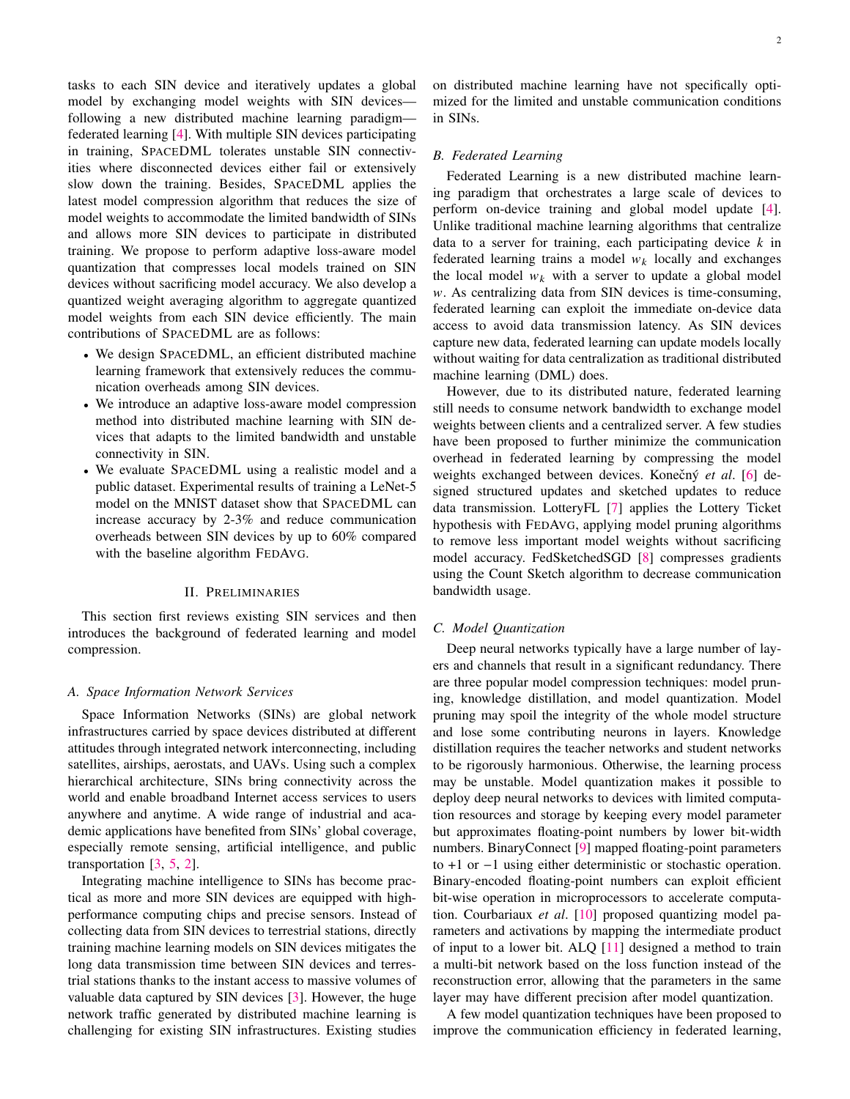tasks to each SIN device and iteratively updates a global model by exchanging model weights with SIN devices following a new distributed machine learning paradigm federated learning [\[4\]](#page-5-3). With multiple SIN devices participating in training, SPACEDML tolerates unstable SIN connectivities where disconnected devices either fail or extensively slow down the training. Besides, SPACEDML applies the latest model compression algorithm that reduces the size of model weights to accommodate the limited bandwidth of SINs and allows more SIN devices to participate in distributed training. We propose to perform adaptive loss-aware model quantization that compresses local models trained on SIN devices without sacrificing model accuracy. We also develop a quantized weight averaging algorithm to aggregate quantized model weights from each SIN device efficiently. The main contributions of SPACEDML are as follows:

- We design SPACEDML, an efficient distributed machine learning framework that extensively reduces the communication overheads among SIN devices.
- We introduce an adaptive loss-aware model compression method into distributed machine learning with SIN devices that adapts to the limited bandwidth and unstable connectivity in SIN.
- We evaluate SPACEDML using a realistic model and a public dataset. Experimental results of training a LeNet-5 model on the MNIST dataset show that SPACEDML can increase accuracy by 2-3% and reduce communication overheads between SIN devices by up to 60% compared with the baseline algorithm FEDAVG.

### II. PRELIMINARIES

This section first reviews existing SIN services and then introduces the background of federated learning and model compression.

#### *A. Space Information Network Services*

Space Information Networks (SINs) are global network infrastructures carried by space devices distributed at different attitudes through integrated network interconnecting, including satellites, airships, aerostats, and UAVs. Using such a complex hierarchical architecture, SINs bring connectivity across the world and enable broadband Internet access services to users anywhere and anytime. A wide range of industrial and academic applications have benefited from SINs' global coverage, especially remote sensing, artificial intelligence, and public transportation [\[3,](#page-5-2) [5,](#page-5-4) [2\]](#page-5-1).

Integrating machine intelligence to SINs has become practical as more and more SIN devices are equipped with highperformance computing chips and precise sensors. Instead of collecting data from SIN devices to terrestrial stations, directly training machine learning models on SIN devices mitigates the long data transmission time between SIN devices and terrestrial stations thanks to the instant access to massive volumes of valuable data captured by SIN devices [\[3\]](#page-5-2). However, the huge network traffic generated by distributed machine learning is challenging for existing SIN infrastructures. Existing studies on distributed machine learning have not specifically optimized for the limited and unstable communication conditions in SINs.

#### *B. Federated Learning*

Federated Learning is a new distributed machine learning paradigm that orchestrates a large scale of devices to perform on-device training and global model update [\[4\]](#page-5-3). Unlike traditional machine learning algorithms that centralize data to a server for training, each participating device  $k$  in federated learning trains a model  $w_k$  locally and exchanges the local model  $w_k$  with a server to update a global model  $w$ . As centralizing data from SIN devices is time-consuming, federated learning can exploit the immediate on-device data access to avoid data transmission latency. As SIN devices capture new data, federated learning can update models locally without waiting for data centralization as traditional distributed machine learning (DML) does.

However, due to its distributed nature, federated learning still needs to consume network bandwidth to exchange model weights between clients and a centralized server. A few studies have been proposed to further minimize the communication overhead in federated learning by compressing the model weights exchanged between devices. Konečný et al. [\[6\]](#page-5-5) designed structured updates and sketched updates to reduce data transmission. LotteryFL [\[7\]](#page-5-6) applies the Lottery Ticket hypothesis with FEDAVG, applying model pruning algorithms to remove less important model weights without sacrificing model accuracy. FedSketchedSGD [\[8\]](#page-5-7) compresses gradients using the Count Sketch algorithm to decrease communication bandwidth usage.

#### *C. Model Quantization*

Deep neural networks typically have a large number of layers and channels that result in a significant redundancy. There are three popular model compression techniques: model pruning, knowledge distillation, and model quantization. Model pruning may spoil the integrity of the whole model structure and lose some contributing neurons in layers. Knowledge distillation requires the teacher networks and student networks to be rigorously harmonious. Otherwise, the learning process may be unstable. Model quantization makes it possible to deploy deep neural networks to devices with limited computation resources and storage by keeping every model parameter but approximates floating-point numbers by lower bit-width numbers. BinaryConnect [\[9\]](#page-5-8) mapped floating-point parameters to +1 or −1 using either deterministic or stochastic operation. Binary-encoded floating-point numbers can exploit efficient bit-wise operation in microprocessors to accelerate computation. Courbariaux *et al*. [\[10\]](#page-5-9) proposed quantizing model parameters and activations by mapping the intermediate product of input to a lower bit. ALQ [\[11\]](#page-5-10) designed a method to train a multi-bit network based on the loss function instead of the reconstruction error, allowing that the parameters in the same layer may have different precision after model quantization.

A few model quantization techniques have been proposed to improve the communication efficiency in federated learning,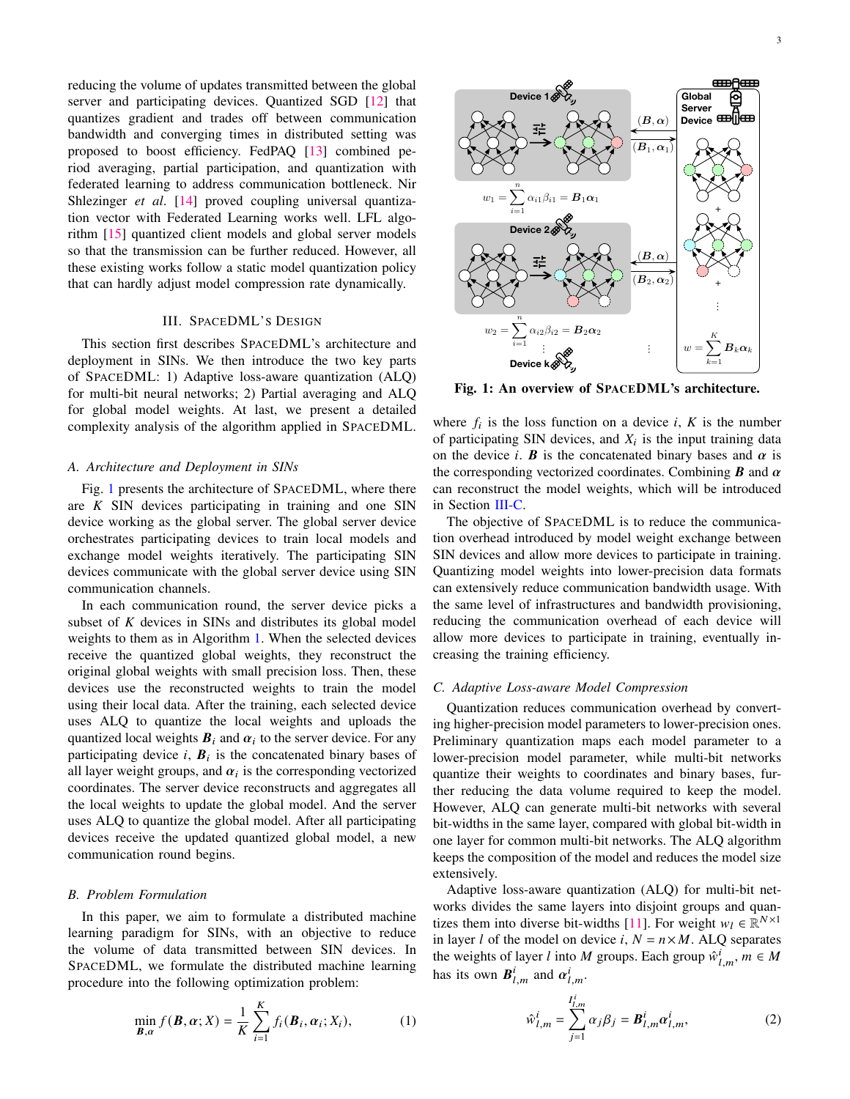reducing the volume of updates transmitted between the global server and participating devices. Quantized SGD [\[12\]](#page-5-11) that quantizes gradient and trades off between communication bandwidth and converging times in distributed setting was proposed to boost efficiency. FedPAQ [\[13\]](#page-5-12) combined period averaging, partial participation, and quantization with federated learning to address communication bottleneck. Nir Shlezinger *et al.* [\[14\]](#page-5-13) proved coupling universal quantization vector with Federated Learning works well. LFL algorithm [\[15\]](#page-5-14) quantized client models and global server models so that the transmission can be further reduced. However, all these existing works follow a static model quantization policy that can hardly adjust model compression rate dynamically.

# III. SPACEDML'S DESIGN

This section first describes SPACEDML's architecture and deployment in SINs. We then introduce the two key parts of SPACEDML: 1) Adaptive loss-aware quantization (ALQ) for multi-bit neural networks; 2) Partial averaging and ALQ for global model weights. At last, we present a detailed complexity analysis of the algorithm applied in SPACEDML.

#### *A. Architecture and Deployment in SINs*

Fig. [1](#page-2-0) presents the architecture of SPACEDML, where there are  $K$  SIN devices participating in training and one SIN device working as the global server. The global server device orchestrates participating devices to train local models and exchange model weights iteratively. The participating SIN devices communicate with the global server device using SIN communication channels.

In each communication round, the server device picks a subset of  $K$  devices in SINs and distributes its global model weights to them as in Algorithm [1.](#page-3-0) When the selected devices receive the quantized global weights, they reconstruct the original global weights with small precision loss. Then, these devices use the reconstructed weights to train the model using their local data. After the training, each selected device uses ALQ to quantize the local weights and uploads the quantized local weights  $B_i$  and  $\alpha_i$  to the server device. For any participating device  $i$ ,  $B_i$  is the concatenated binary bases of all layer weight groups, and  $\alpha_i$  is the corresponding vectorized coordinates. The server device reconstructs and aggregates all the local weights to update the global model. And the server uses ALQ to quantize the global model. After all participating devices receive the updated quantized global model, a new communication round begins.

#### *B. Problem Formulation*

In this paper, we aim to formulate a distributed machine learning paradigm for SINs, with an objective to reduce the volume of data transmitted between SIN devices. In SPACEDML, we formulate the distributed machine learning procedure into the following optimization problem:

$$
\min_{\mathbf{B},\alpha} f(\mathbf{B},\alpha;X) = \frac{1}{K} \sum_{i=1}^{K} f_i(\mathbf{B}_i,\alpha_i;X_i),
$$
 (1)

3

<span id="page-2-0"></span>

Fig. 1: An overview of SPACEDML's architecture.

where  $f_i$  is the loss function on a device  $i$ ,  $K$  is the number of participating SIN devices, and  $X_i$  is the input training data on the device *i*. *B* is the concatenated binary bases and  $\alpha$  is the corresponding vectorized coordinates. Combining  $\bm{B}$  and  $\alpha$ can reconstruct the model weights, which will be introduced in Section [III-C.](#page-2-1)

The objective of SPACEDML is to reduce the communication overhead introduced by model weight exchange between SIN devices and allow more devices to participate in training. Quantizing model weights into lower-precision data formats can extensively reduce communication bandwidth usage. With the same level of infrastructures and bandwidth provisioning, reducing the communication overhead of each device will allow more devices to participate in training, eventually increasing the training efficiency.

#### <span id="page-2-1"></span>*C. Adaptive Loss-aware Model Compression*

Quantization reduces communication overhead by converting higher-precision model parameters to lower-precision ones. Preliminary quantization maps each model parameter to a lower-precision model parameter, while multi-bit networks quantize their weights to coordinates and binary bases, further reducing the data volume required to keep the model. However, ALQ can generate multi-bit networks with several bit-widths in the same layer, compared with global bit-width in one layer for common multi-bit networks. The ALQ algorithm keeps the composition of the model and reduces the model size extensively.

Adaptive loss-aware quantization (ALQ) for multi-bit networks divides the same layers into disjoint groups and quan-tizes them into diverse bit-widths [\[11\]](#page-5-10). For weight  $w_l \in \mathbb{R}^{N \times 1}$ in layer *l* of the model on device *i*,  $N = n \times M$ . ALQ separates the weights of layer *l* into *M* groups. Each group  $\hat{w}_{l,m}^i$ ,  $m \in M$ has its own  $B^i_{l,m}$  and  $\alpha^i_{l,m}$ .

$$
\hat{w}_{l,m}^i = \sum_{j=1}^{I_{l,m}^i} \alpha_j \beta_j = \boldsymbol{B}_{l,m}^i \alpha_{l,m}^i,
$$
\n(2)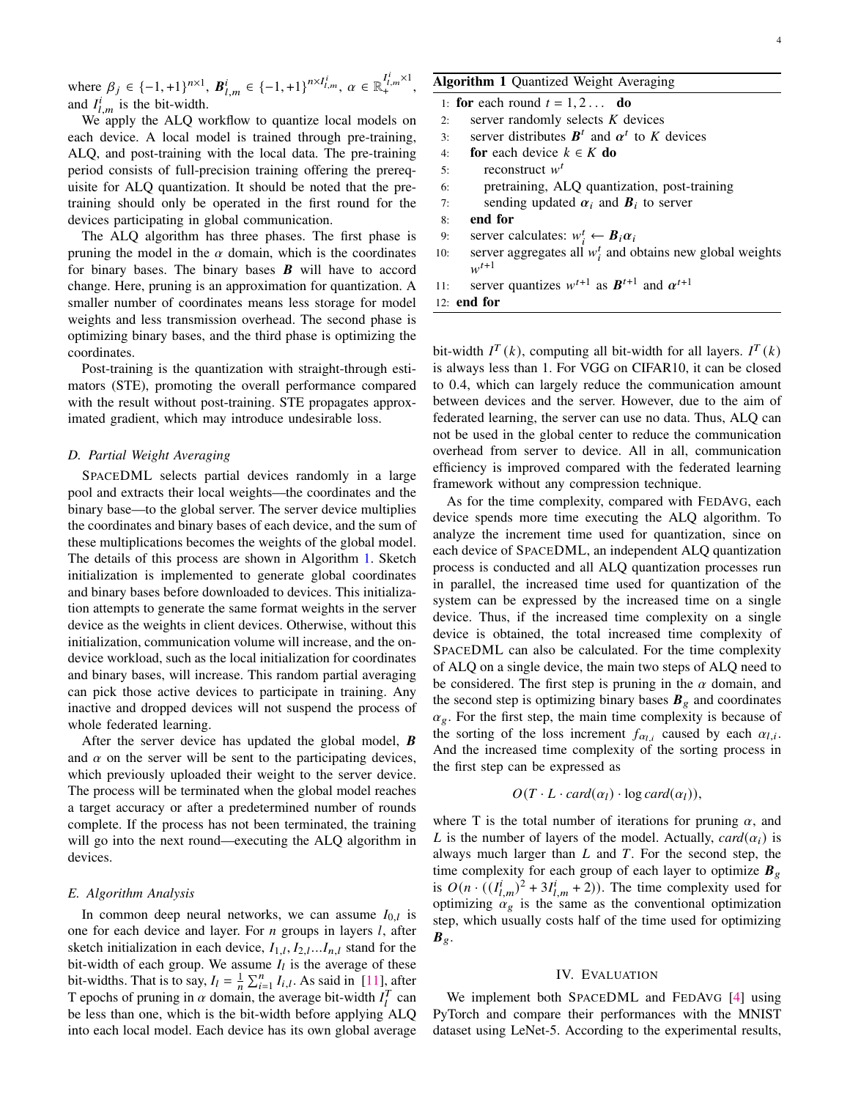where  $\beta_j \in \{-1, +1\}^{n \times 1}$ ,  $B_{l,m}^i \in \{-1, +1\}^{n \times I_{l,m}^i}$ ,  $\alpha \in \mathbb{R}_+^{I_{l,m}^i \times 1}$ and  $I_{l,m}^{i}$  is the bit-width.

We apply the ALQ workflow to quantize local models on each device. A local model is trained through pre-training, ALQ, and post-training with the local data. The pre-training period consists of full-precision training offering the prerequisite for ALQ quantization. It should be noted that the pretraining should only be operated in the first round for the devices participating in global communication.

The ALQ algorithm has three phases. The first phase is pruning the model in the  $\alpha$  domain, which is the coordinates for binary bases. The binary bases  $\bm{B}$  will have to accord change. Here, pruning is an approximation for quantization. A smaller number of coordinates means less storage for model weights and less transmission overhead. The second phase is optimizing binary bases, and the third phase is optimizing the coordinates.

Post-training is the quantization with straight-through estimators (STE), promoting the overall performance compared with the result without post-training. STE propagates approximated gradient, which may introduce undesirable loss.

# *D. Partial Weight Averaging*

SPACEDML selects partial devices randomly in a large pool and extracts their local weights—the coordinates and the binary base—to the global server. The server device multiplies the coordinates and binary bases of each device, and the sum of these multiplications becomes the weights of the global model. The details of this process are shown in Algorithm [1.](#page-3-0) Sketch initialization is implemented to generate global coordinates and binary bases before downloaded to devices. This initialization attempts to generate the same format weights in the server device as the weights in client devices. Otherwise, without this initialization, communication volume will increase, and the ondevice workload, such as the local initialization for coordinates and binary bases, will increase. This random partial averaging can pick those active devices to participate in training. Any inactive and dropped devices will not suspend the process of whole federated learning.

After the server device has updated the global model,  $\bm{B}$ and  $\alpha$  on the server will be sent to the participating devices, which previously uploaded their weight to the server device. The process will be terminated when the global model reaches a target accuracy or after a predetermined number of rounds complete. If the process has not been terminated, the training will go into the next round—executing the ALQ algorithm in devices.

# *E. Algorithm Analysis*

In common deep neural networks, we can assume  $I_{0,l}$  is one for each device and layer. For  $n$  groups in layers  $l$ , after sketch initialization in each device,  $I_{1,l}, I_{2,l}...I_{n,l}$  stand for the bit-width of each group. We assume  $I_l$  is the average of these bit-widths. That is to say,  $I_l = \frac{1}{n} \sum_{i=1}^n I_{i,l}$ . As said in [\[11\]](#page-5-10), after T encodes of pruning in a domain, the suggested bit width  $I_l^T$  can T epochs of pruning in  $\alpha$  domain, the average bit-width  $I_l^T$  can be less than one, which is the bit-width before applying ALQ into each local model. Each device has its own global average

# Algorithm 1 Quantized Weight Averaging

,

|     | 1: for each round $t = 1, 2$ do                                           |
|-----|---------------------------------------------------------------------------|
| 2:  | server randomly selects $K$ devices                                       |
| 3:  | server distributes $B^t$ and $\alpha^t$ to K devices                      |
| 4:  | <b>for</b> each device $k \in K$ <b>do</b>                                |
| 5:  | reconstruct $wt$                                                          |
| 6:  | pretraining, ALQ quantization, post-training                              |
| 7:  | sending updated $\alpha_i$ and $B_i$ to server                            |
| 8:  | end for                                                                   |
| 9:  | server calculates: $w_i^t \leftarrow B_i \alpha_i$                        |
| 10: | server aggregates all $w_i^t$ and obtains new global weights<br>$w^{t+1}$ |
|     | server quantizes $w^{t+1}$ as $B^{t+1}$ and $\alpha^{t+1}$                |
| 11: |                                                                           |
|     | $12:$ end for                                                             |

<span id="page-3-0"></span>bit-width  $I^T(k)$ , computing all bit-width for all layers.  $I^T(k)$ is always less than 1. For VGG on CIFAR10, it can be closed to 0.4, which can largely reduce the communication amount between devices and the server. However, due to the aim of federated learning, the server can use no data. Thus, ALQ can not be used in the global center to reduce the communication overhead from server to device. All in all, communication efficiency is improved compared with the federated learning framework without any compression technique.

As for the time complexity, compared with FEDAVG, each device spends more time executing the ALQ algorithm. To analyze the increment time used for quantization, since on each device of SPACEDML, an independent ALQ quantization process is conducted and all ALQ quantization processes run in parallel, the increased time used for quantization of the system can be expressed by the increased time on a single device. Thus, if the increased time complexity on a single device is obtained, the total increased time complexity of SPACEDML can also be calculated. For the time complexity of ALQ on a single device, the main two steps of ALQ need to be considered. The first step is pruning in the  $\alpha$  domain, and the second step is optimizing binary bases  $B_g$  and coordinates  $\alpha_g$ . For the first step, the main time complexity is because of the sorting of the loss increment  $f_{\alpha_{l,i}}$  caused by each  $\alpha_{l,i}$ . And the increased time complexity of the sorting process in the first step can be expressed as

$$
O(T \cdot L \cdot card(\alpha_l) \cdot \log card(\alpha_l)),
$$

where T is the total number of iterations for pruning  $\alpha$ , and L is the number of layers of the model. Actually,  $card(\alpha_i)$  is always much larger than  $L$  and  $T$ . For the second step, the time complexity for each group of each layer to optimize  $B_{\varrho}$ is  $O(n \cdot ((I_{l,m}^i)^2 + 3I_{l,m}^i + 2))$ . The time complexity used for optimizing  $\alpha_{g}$  is the same as the conventional optimization step, which usually costs half of the time used for optimizing  $B_g$ .

#### IV. EVALUATION

We implement both SPACEDML and FEDAVG [\[4\]](#page-5-3) using PyTorch and compare their performances with the MNIST dataset using LeNet-5. According to the experimental results,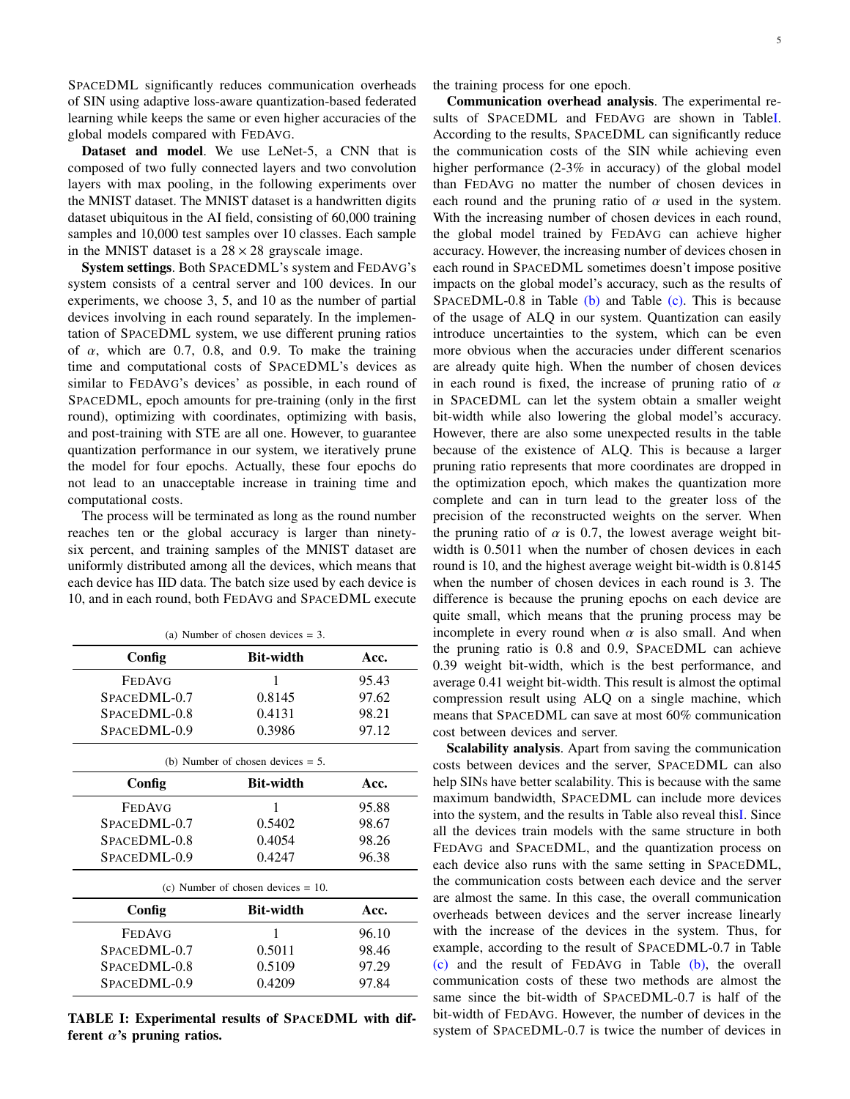SPACEDML significantly reduces communication overheads of SIN using adaptive loss-aware quantization-based federated learning while keeps the same or even higher accuracies of the global models compared with FEDAVG.

Dataset and model. We use LeNet-5, a CNN that is composed of two fully connected layers and two convolution layers with max pooling, in the following experiments over the MNIST dataset. The MNIST dataset is a handwritten digits dataset ubiquitous in the AI field, consisting of 60,000 training samples and 10,000 test samples over 10 classes. Each sample in the MNIST dataset is a  $28 \times 28$  grayscale image.

System settings. Both SPACEDML's system and FEDAVG's system consists of a central server and 100 devices. In our experiments, we choose 3, 5, and 10 as the number of partial devices involving in each round separately. In the implementation of SPACEDML system, we use different pruning ratios of  $\alpha$ , which are 0.7, 0.8, and 0.9. To make the training time and computational costs of SPACEDML's devices as similar to FEDAVG's devices' as possible, in each round of SPACEDML, epoch amounts for pre-training (only in the first round), optimizing with coordinates, optimizing with basis, and post-training with STE are all one. However, to guarantee quantization performance in our system, we iteratively prune the model for four epochs. Actually, these four epochs do not lead to an unacceptable increase in training time and computational costs.

The process will be terminated as long as the round number reaches ten or the global accuracy is larger than ninetysix percent, and training samples of the MNIST dataset are uniformly distributed among all the devices, which means that each device has IID data. The batch size used by each device is 10, and in each round, both FEDAVG and SPACEDML execute

<span id="page-4-1"></span><span id="page-4-0"></span>

| (a) Number of chosen devices $= 3$ .  |                  |       |  |
|---------------------------------------|------------------|-------|--|
| Config                                | <b>Bit-width</b> | Acc.  |  |
| <b>FEDAVG</b>                         | 1                | 95.43 |  |
| SPACEDML-0.7                          | 0.8145           | 97.62 |  |
| SPACEDML-0.8                          | 0.4131           | 98.21 |  |
| SPACEDML-0.9                          | 0.3986           | 97.12 |  |
| (b) Number of chosen devices $= 5$ .  |                  |       |  |
| Config                                | <b>Bit-width</b> | Acc.  |  |
| <b>FEDAVG</b>                         | 1                | 95.88 |  |
| SPACEDML-0.7                          | 0.5402           | 98.67 |  |
| SPACEDML-0.8                          | 0.4054           | 98.26 |  |
| SPACEDML-0.9                          | 0.4247           | 96.38 |  |
| (c) Number of chosen devices $= 10$ . |                  |       |  |
| Config                                | <b>Bit-width</b> | Acc.  |  |
| <b>FEDAVG</b>                         | 1                | 96.10 |  |
| SPACEDML-0.7                          | 0.5011           | 98.46 |  |
| SPACEDML-0.8                          | 0.5109           | 97.29 |  |
| SPACEDML-0.9                          | 0.4209           | 97.84 |  |
|                                       |                  |       |  |

<span id="page-4-2"></span>TABLE I: Experimental results of SPACEDML with different  $\alpha$ 's pruning ratios.

the training process for one epoch.

Communication overhead analysis. The experimental results of SPACEDML and FEDAVG are shown in Tabl[eI.](#page-4-0) According to the results, SPACEDML can significantly reduce the communication costs of the SIN while achieving even higher performance (2-3% in accuracy) of the global model than FEDAVG no matter the number of chosen devices in each round and the pruning ratio of  $\alpha$  used in the system. With the increasing number of chosen devices in each round, the global model trained by FEDAVG can achieve higher accuracy. However, the increasing number of devices chosen in each round in SPACEDML sometimes doesn't impose positive impacts on the global model's accuracy, such as the results of SPACEDML-0.8 in Table [\(b\)](#page-4-1) and Table [\(c\).](#page-4-2) This is because of the usage of ALQ in our system. Quantization can easily introduce uncertainties to the system, which can be even more obvious when the accuracies under different scenarios are already quite high. When the number of chosen devices in each round is fixed, the increase of pruning ratio of  $\alpha$ in SPACEDML can let the system obtain a smaller weight bit-width while also lowering the global model's accuracy. However, there are also some unexpected results in the table because of the existence of ALQ. This is because a larger pruning ratio represents that more coordinates are dropped in the optimization epoch, which makes the quantization more complete and can in turn lead to the greater loss of the precision of the reconstructed weights on the server. When the pruning ratio of  $\alpha$  is 0.7, the lowest average weight bitwidth is 0.5011 when the number of chosen devices in each round is 10, and the highest average weight bit-width is 0.8145 when the number of chosen devices in each round is 3. The difference is because the pruning epochs on each device are quite small, which means that the pruning process may be incomplete in every round when  $\alpha$  is also small. And when the pruning ratio is 0.8 and 0.9, SPACEDML can achieve 0.39 weight bit-width, which is the best performance, and average 0.41 weight bit-width. This result is almost the optimal compression result using ALQ on a single machine, which means that SPACEDML can save at most 60% communication cost between devices and server.

Scalability analysis. Apart from saving the communication costs between devices and the server, SPACEDML can also help SINs have better scalability. This is because with the same maximum bandwidth, SPACEDML can include more devices into the system, and the results in Table also reveal thi[sI.](#page-4-0) Since all the devices train models with the same structure in both FEDAVG and SPACEDML, and the quantization process on each device also runs with the same setting in SPACEDML, the communication costs between each device and the server are almost the same. In this case, the overall communication overheads between devices and the server increase linearly with the increase of the devices in the system. Thus, for example, according to the result of SPACEDML-0.7 in Table [\(c\)](#page-4-2) and the result of FEDAVG in Table [\(b\),](#page-4-1) the overall communication costs of these two methods are almost the same since the bit-width of SPACEDML-0.7 is half of the bit-width of FEDAVG. However, the number of devices in the system of SPACEDML-0.7 is twice the number of devices in